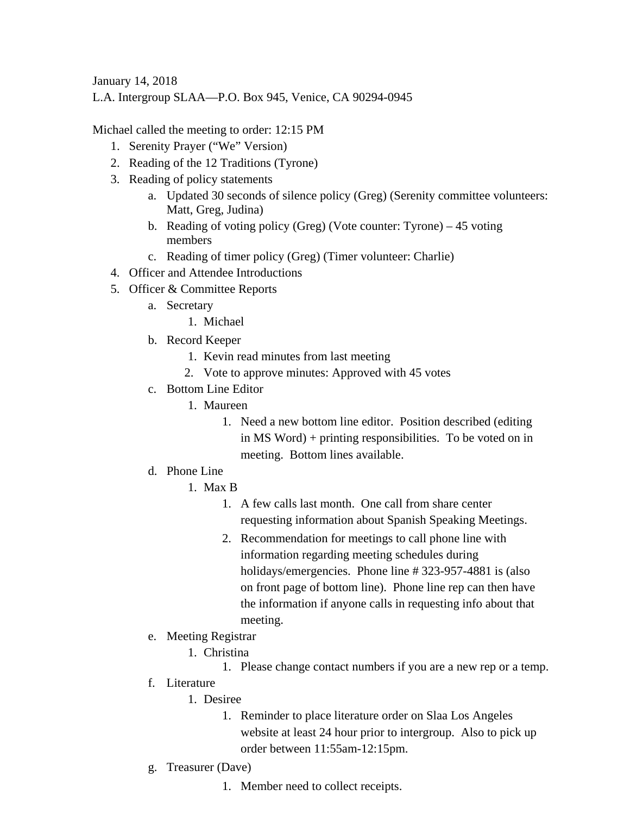January 14, 2018

L.A. Intergroup SLAA—P.O. Box 945, Venice, CA 90294-0945

Michael called the meeting to order: 12:15 PM

- 1. Serenity Prayer ("We" Version)
- 2. Reading of the 12 Traditions (Tyrone)
- 3. Reading of policy statements
	- a. Updated 30 seconds of silence policy (Greg) (Serenity committee volunteers: Matt, Greg, Judina)
	- b. Reading of voting policy (Greg) (Vote counter: Tyrone) 45 voting members
	- c. Reading of timer policy (Greg) (Timer volunteer: Charlie)
- 4. Officer and Attendee Introductions
- 5. Officer & Committee Reports
	- a. Secretary
		- 1. Michael
	- b. Record Keeper
		- 1. Kevin read minutes from last meeting
		- 2. Vote to approve minutes: Approved with 45 votes
	- c. Bottom Line Editor
		- 1. Maureen
			- 1. Need a new bottom line editor. Position described (editing in MS Word) + printing responsibilities. To be voted on in meeting. Bottom lines available.
	- d. Phone Line
		- 1. Max B
			- 1. A few calls last month. One call from share center requesting information about Spanish Speaking Meetings.
			- 2. Recommendation for meetings to call phone line with information regarding meeting schedules during holidays/emergencies. Phone line # 323-957-4881 is (also on front page of bottom line). Phone line rep can then have the information if anyone calls in requesting info about that meeting.
	- e. Meeting Registrar
		- 1. Christina
			- 1. Please change contact numbers if you are a new rep or a temp.
	- f. Literature
		- 1. Desiree
			- 1. Reminder to place literature order on Slaa Los Angeles website at least 24 hour prior to intergroup. Also to pick up order between 11:55am-12:15pm.
	- g. Treasurer (Dave)
		- 1. Member need to collect receipts.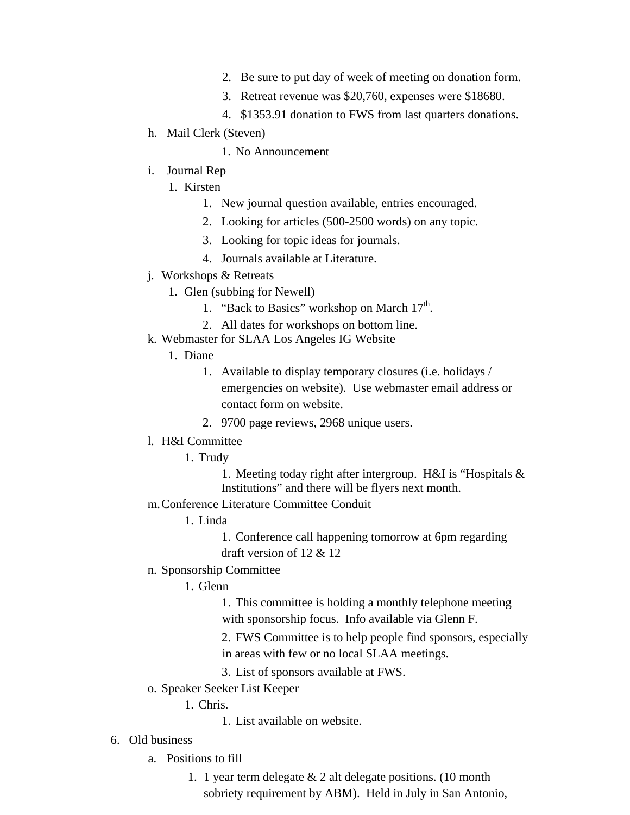- 2. Be sure to put day of week of meeting on donation form.
- 3. Retreat revenue was \$20,760, expenses were \$18680.
- 4. \$1353.91 donation to FWS from last quarters donations.
- h. Mail Clerk (Steven)
	- 1. No Announcement
- i. Journal Rep
	- 1. Kirsten
		- 1. New journal question available, entries encouraged.
		- 2. Looking for articles (500-2500 words) on any topic.
		- 3. Looking for topic ideas for journals.
		- 4. Journals available at Literature.
- j. Workshops & Retreats
	- 1. Glen (subbing for Newell)
		- 1. "Back to Basics" workshop on March  $17<sup>th</sup>$ .
		- 2. All dates for workshops on bottom line.
- k. Webmaster for SLAA Los Angeles IG Website
	- 1. Diane
		- 1. Available to display temporary closures (i.e. holidays / emergencies on website). Use webmaster email address or contact form on website.
		- 2. 9700 page reviews, 2968 unique users.
- l. H&I Committee
	- 1. Trudy
		- 1. Meeting today right after intergroup. H&I is "Hospitals & Institutions" and there will be flyers next month.
- m.Conference Literature Committee Conduit
	- 1. Linda
		- 1. Conference call happening tomorrow at 6pm regarding draft version of 12 & 12
- n. Sponsorship Committee
	- 1. Glenn

1. This committee is holding a monthly telephone meeting with sponsorship focus. Info available via Glenn F.

2. FWS Committee is to help people find sponsors, especially in areas with few or no local SLAA meetings.

- 3. List of sponsors available at FWS.
- o. Speaker Seeker List Keeper

1. Chris.

- 1. List available on website.
- 6. Old business
	- a. Positions to fill
		- 1. 1 year term delegate & 2 alt delegate positions. (10 month sobriety requirement by ABM). Held in July in San Antonio,